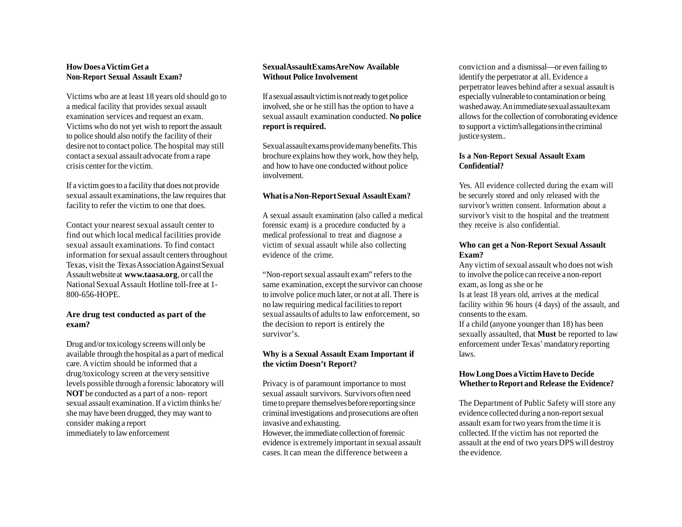# **HowDoes aVictimGet a Non-Report Sexual Assault Exam?**

Victims who are at least 18 years old should go to a medical facility that provides sexual assault examination services and request an exam. Victims who do not yet wish to report the assault to police should also notify the facility of their desire not to contact police. The hospital may still contact a sexual assault advocate from a rape crisis centerfor the victim.

If a victimgoesto a facility that does not provide sexual assault examinations, the law requires that facility to refer the victim to one that does.

Contact your nearest sexual assault center to find out which local medical facilities provide sexual assault examinations. To find contact information for sexual assault centers throughout Texas, visit the Texas Association Against Sexual Assaultwebsiteat **[www.taasa.org](http://www.taasa.org/)**, or call the National Sexual Assault Hotline toll-free at 1-800-656-HOPE.

#### **Are drug test conducted as part of the exam?**

Drug and/or toxicology screens will only be available through the hospital as a part of medical care. A victim should be informed that a drug/toxicology screen at the very sensitive levels possible through a forensic laboratory will **NOT** be conducted as a part of a non- report sexual assault examination.If a victim thinks he/ she may have been drugged, they may want to consider making a report immediately to law enforcement

## **SexualAssaultExamsAreNow Available Without Police Involvement**

If a sexual assault victim is not ready to get police involved, she or he still has the option to have a sexual assault examination conducted. **No police report is required.**

Sexualassaultexamsprovidemanybenefits.This brochure explains how they work, how they help, and how to have one conducted without police involvement.

### **WhatisaNon-ReportSexual AssaultExam?**

A sexual assault examination (also called a medical forensic exam) is a procedure conducted by a medical professional to treat and diagnose a victim of sexual assault while also collecting evidence of the crime.

"Non-report sexual assault exam" refers to the same examination, except the survivor can choose to involve police much later, or not at all. There is no law requiring medicalfacilitiesto report sexual assaults of adults to law enforcement, so the decision to report is entirely the survivor's.

## **Why is a Sexual Assault Exam Important if the victim Doesn't Report?**

Privacy is of paramount importance to most sexual assault survivors. Survivors often need time to prepare themselves before reporting since criminalinvestigations and prosecutions are often invasive and exhausting.

However, the immediate collection of forensic evidence is extremely important in sexual assault cases. It can mean the difference between a

conviction and a dismissal—or even failing to identify the perpetrator at all. Evidence a perpetrator leaves behind after a sexual assault is especially vulnerable to contamination or being washedaway.Animmediatesexualassaultexam allows for the collection of corroborating evidence to support a victim'sallegationsinthecriminal justice system..

## **Is a Non-Report Sexual Assault Exam Confidential?**

Yes. All evidence collected during the exam will be securely stored and only released with the survivor's written consent. Information about a survivor's visit to the hospital and the treatment they receive is also confidential.

### **Who can get a Non-Report Sexual Assault Exam?**

Any victim of sexual assault who does not wish to involve the police can receive a non-report exam, as long as she or he Is at least 18 years old, arrives at the medical facility within 96 hours (4 days) of the assault, and consents to the exam.

If a child (anyone younger than 18) has been sexually assaulted, that **Must** be reported to law enforcement under Texas' mandatory reporting laws.

### **HowLongDoes aVictimHave to Decide Whether toReport and Release the Evidence?**

The Department of Public Safety will store any evidence collected during a non-report sexual assault exam for two years from the time it is collected. If the victim has not reported the assault at the end of two years DPS will destroy the evidence.